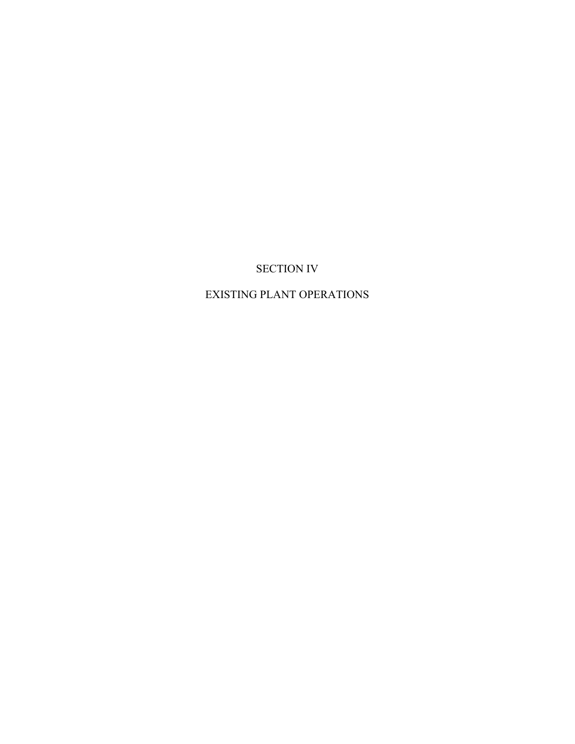# SECTION IV

# EXISTING PLANT OPERATIONS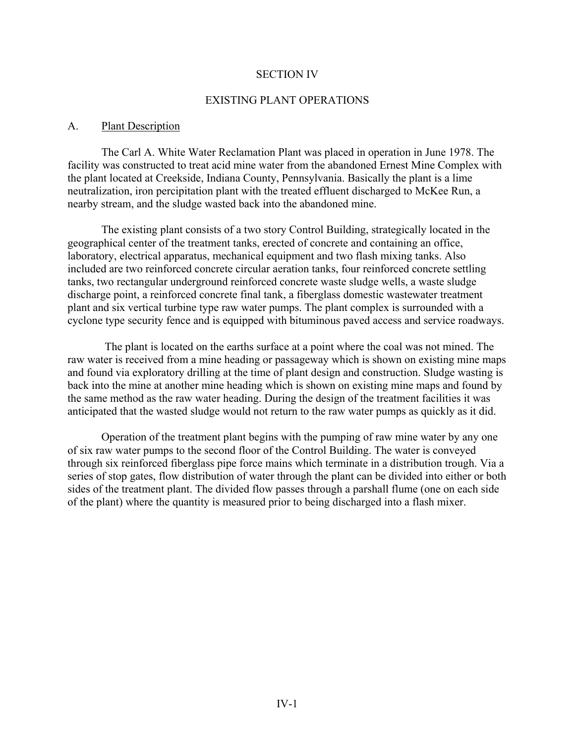#### SECTION IV

#### EXISTING PLANT OPERATIONS

#### A. Plant Description

The Carl A. White Water Reclamation Plant was placed in operation in June 1978. The facility was constructed to treat acid mine water from the abandoned Ernest Mine Complex with the plant located at Creekside, Indiana County, Pennsylvania. Basically the plant is a lime neutralization, iron percipitation plant with the treated effluent discharged to McKee Run, a nearby stream, and the sludge wasted back into the abandoned mine.

The existing plant consists of a two story Control Building, strategically located in the geographical center of the treatment tanks, erected of concrete and containing an office, laboratory, electrical apparatus, mechanical equipment and two flash mixing tanks. Also included are two reinforced concrete circular aeration tanks, four reinforced concrete settling tanks, two rectangular underground reinforced concrete waste sludge wells, a waste sludge discharge point, a reinforced concrete final tank, a fiberglass domestic wastewater treatment plant and six vertical turbine type raw water pumps. The plant complex is surrounded with a cyclone type security fence and is equipped with bituminous paved access and service roadways.

The plant is located on the earths surface at a point where the coal was not mined. The raw water is received from a mine heading or passageway which is shown on existing mine maps and found via exploratory drilling at the time of plant design and construction. Sludge wasting is back into the mine at another mine heading which is shown on existing mine maps and found by the same method as the raw water heading. During the design of the treatment facilities it was anticipated that the wasted sludge would not return to the raw water pumps as quickly as it did.

Operation of the treatment plant begins with the pumping of raw mine water by any one of six raw water pumps to the second floor of the Control Building. The water is conveyed through six reinforced fiberglass pipe force mains which terminate in a distribution trough. Via a series of stop gates, flow distribution of water through the plant can be divided into either or both sides of the treatment plant. The divided flow passes through a parshall flume (one on each side of the plant) where the quantity is measured prior to being discharged into a flash mixer.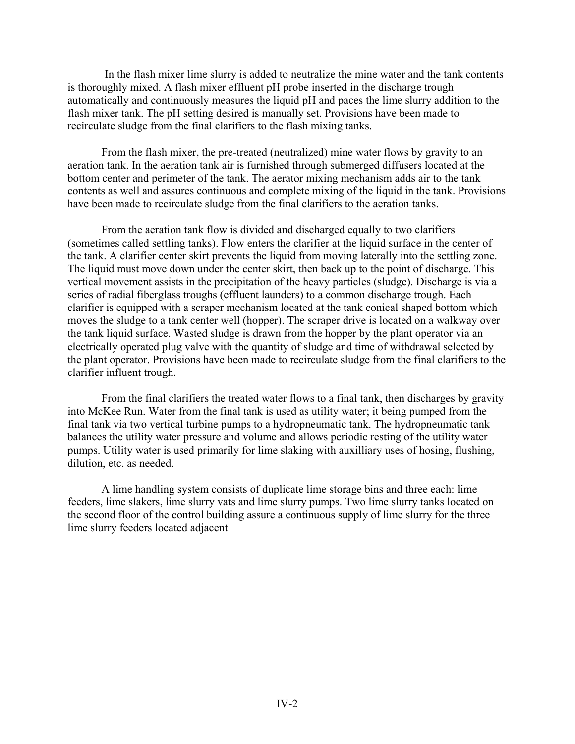In the flash mixer lime slurry is added to neutralize the mine water and the tank contents is thoroughly mixed. A flash mixer effluent pH probe inserted in the discharge trough automatically and continuously measures the liquid pH and paces the lime slurry addition to the flash mixer tank. The pH setting desired is manually set. Provisions have been made to recirculate sludge from the final clarifiers to the flash mixing tanks.

From the flash mixer, the pre-treated (neutralized) mine water flows by gravity to an aeration tank. In the aeration tank air is furnished through submerged diffusers located at the bottom center and perimeter of the tank. The aerator mixing mechanism adds air to the tank contents as well and assures continuous and complete mixing of the liquid in the tank. Provisions have been made to recirculate sludge from the final clarifiers to the aeration tanks.

From the aeration tank flow is divided and discharged equally to two clarifiers (sometimes called settling tanks). Flow enters the clarifier at the liquid surface in the center of the tank. A clarifier center skirt prevents the liquid from moving laterally into the settling zone. The liquid must move down under the center skirt, then back up to the point of discharge. This vertical movement assists in the precipitation of the heavy particles (sludge). Discharge is via a series of radial fiberglass troughs (effluent launders) to a common discharge trough. Each clarifier is equipped with a scraper mechanism located at the tank conical shaped bottom which moves the sludge to a tank center well (hopper). The scraper drive is located on a walkway over the tank liquid surface. Wasted sludge is drawn from the hopper by the plant operator via an electrically operated plug valve with the quantity of sludge and time of withdrawal selected by the plant operator. Provisions have been made to recirculate sludge from the final clarifiers to the clarifier influent trough.

From the final clarifiers the treated water flows to a final tank, then discharges by gravity into McKee Run. Water from the final tank is used as utility water; it being pumped from the final tank via two vertical turbine pumps to a hydropneumatic tank. The hydropneumatic tank balances the utility water pressure and volume and allows periodic resting of the utility water pumps. Utility water is used primarily for lime slaking with auxilliary uses of hosing, flushing, dilution, etc. as needed.

A lime handling system consists of duplicate lime storage bins and three each: lime feeders, lime slakers, lime slurry vats and lime slurry pumps. Two lime slurry tanks located on the second floor of the control building assure a continuous supply of lime slurry for the three lime slurry feeders located adjacent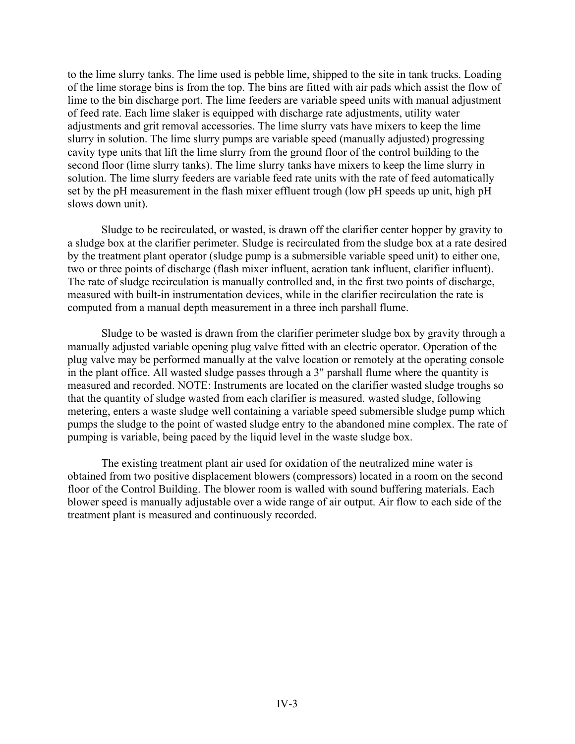to the lime slurry tanks. The lime used is pebble lime, shipped to the site in tank trucks. Loading of the lime storage bins is from the top. The bins are fitted with air pads which assist the flow of lime to the bin discharge port. The lime feeders are variable speed units with manual adjustment of feed rate. Each lime slaker is equipped with discharge rate adjustments, utility water adjustments and grit removal accessories. The lime slurry vats have mixers to keep the lime slurry in solution. The lime slurry pumps are variable speed (manually adjusted) progressing cavity type units that lift the lime slurry from the ground floor of the control building to the second floor (lime slurry tanks). The lime slurry tanks have mixers to keep the lime slurry in solution. The lime slurry feeders are variable feed rate units with the rate of feed automatically set by the pH measurement in the flash mixer effluent trough (low pH speeds up unit, high pH slows down unit).

Sludge to be recirculated, or wasted, is drawn off the clarifier center hopper by gravity to a sludge box at the clarifier perimeter. Sludge is recirculated from the sludge box at a rate desired by the treatment plant operator (sludge pump is a submersible variable speed unit) to either one, two or three points of discharge (flash mixer influent, aeration tank influent, clarifier influent). The rate of sludge recirculation is manually controlled and, in the first two points of discharge, measured with built-in instrumentation devices, while in the clarifier recirculation the rate is computed from a manual depth measurement in a three inch parshall flume.

Sludge to be wasted is drawn from the clarifier perimeter sludge box by gravity through a manually adjusted variable opening plug valve fitted with an electric operator. Operation of the plug valve may be performed manually at the valve location or remotely at the operating console in the plant office. All wasted sludge passes through a 3" parshall flume where the quantity is measured and recorded. NOTE: Instruments are located on the clarifier wasted sludge troughs so that the quantity of sludge wasted from each clarifier is measured. wasted sludge, following metering, enters a waste sludge well containing a variable speed submersible sludge pump which pumps the sludge to the point of wasted sludge entry to the abandoned mine complex. The rate of pumping is variable, being paced by the liquid level in the waste sludge box.

The existing treatment plant air used for oxidation of the neutralized mine water is obtained from two positive displacement blowers (compressors) located in a room on the second floor of the Control Building. The blower room is walled with sound buffering materials. Each blower speed is manually adjustable over a wide range of air output. Air flow to each side of the treatment plant is measured and continuously recorded.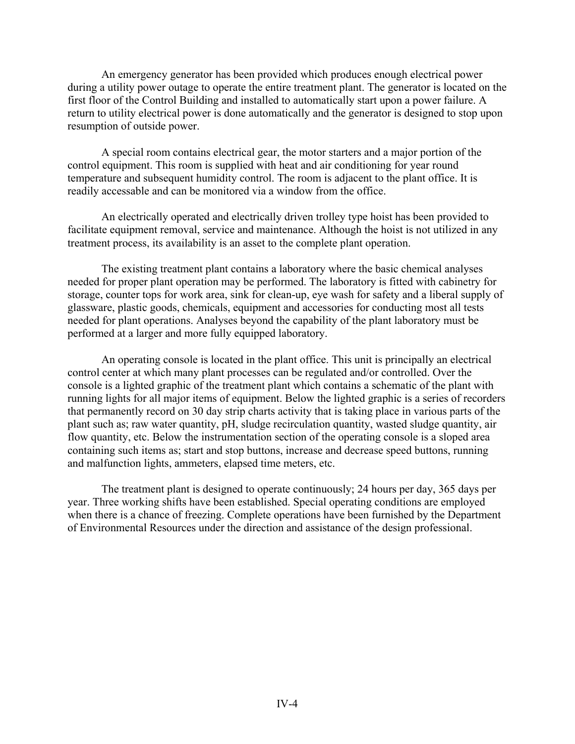An emergency generator has been provided which produces enough electrical power during a utility power outage to operate the entire treatment plant. The generator is located on the first floor of the Control Building and installed to automatically start upon a power failure. A return to utility electrical power is done automatically and the generator is designed to stop upon resumption of outside power.

A special room contains electrical gear, the motor starters and a major portion of the control equipment. This room is supplied with heat and air conditioning for year round temperature and subsequent humidity control. The room is adjacent to the plant office. It is readily accessable and can be monitored via a window from the office.

An electrically operated and electrically driven trolley type hoist has been provided to facilitate equipment removal, service and maintenance. Although the hoist is not utilized in any treatment process, its availability is an asset to the complete plant operation.

The existing treatment plant contains a laboratory where the basic chemical analyses needed for proper plant operation may be performed. The laboratory is fitted with cabinetry for storage, counter tops for work area, sink for clean-up, eye wash for safety and a liberal supply of glassware, plastic goods, chemicals, equipment and accessories for conducting most all tests needed for plant operations. Analyses beyond the capability of the plant laboratory must be performed at a larger and more fully equipped laboratory.

An operating console is located in the plant office. This unit is principally an electrical control center at which many plant processes can be regulated and/or controlled. Over the console is a lighted graphic of the treatment plant which contains a schematic of the plant with running lights for all major items of equipment. Below the lighted graphic is a series of recorders that permanently record on 30 day strip charts activity that is taking place in various parts of the plant such as; raw water quantity, pH, sludge recirculation quantity, wasted sludge quantity, air flow quantity, etc. Below the instrumentation section of the operating console is a sloped area containing such items as; start and stop buttons, increase and decrease speed buttons, running and malfunction lights, ammeters, elapsed time meters, etc.

The treatment plant is designed to operate continuously; 24 hours per day, 365 days per year. Three working shifts have been established. Special operating conditions are employed when there is a chance of freezing. Complete operations have been furnished by the Department of Environmental Resources under the direction and assistance of the design professional.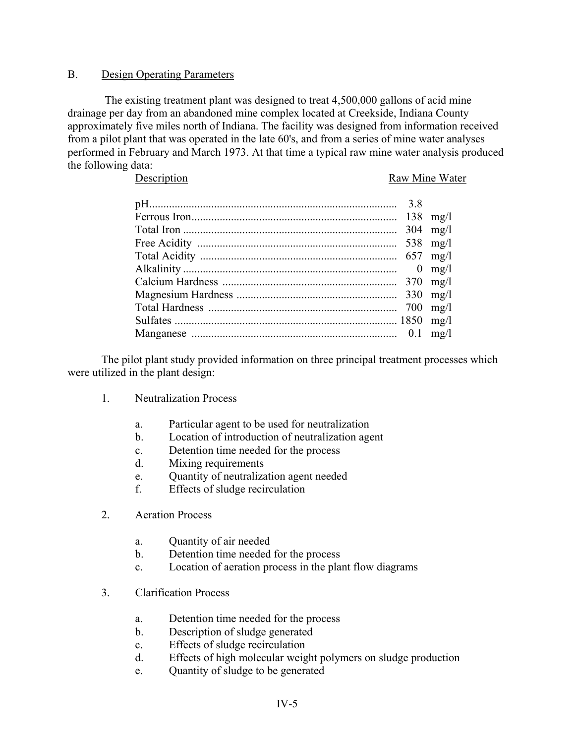### B. Design Operating Parameters

The existing treatment plant was designed to treat 4,500,000 gallons of acid mine drainage per day from an abandoned mine complex located at Creekside, Indiana County approximately five miles north of Indiana. The facility was designed from information received from a pilot plant that was operated in the late 60's, and from a series of mine water analyses performed in February and March 1973. At that time a typical raw mine water analysis produced the following data:

Description Raw Mine Water

|  | $304$ mg/l       |
|--|------------------|
|  |                  |
|  |                  |
|  | $0 \text{ mg/l}$ |
|  |                  |
|  |                  |
|  |                  |
|  |                  |
|  |                  |

The pilot plant study provided information on three principal treatment processes which were utilized in the plant design:

- 1. Neutralization Process
	- a. Particular agent to be used for neutralization
	- b. Location of introduction of neutralization agent
	- c. Detention time needed for the process
	- d. Mixing requirements
	- e. Quantity of neutralization agent needed
	- f. Effects of sludge recirculation
- 2. Aeration Process
	- a. Quantity of air needed
	- b. Detention time needed for the process
	- c. Location of aeration process in the plant flow diagrams
- 3. Clarification Process
	- a. Detention time needed for the process
	- b. Description of sludge generated
	- c. Effects of sludge recirculation
	- d. Effects of high molecular weight polymers on sludge production
	- e. Quantity of sludge to be generated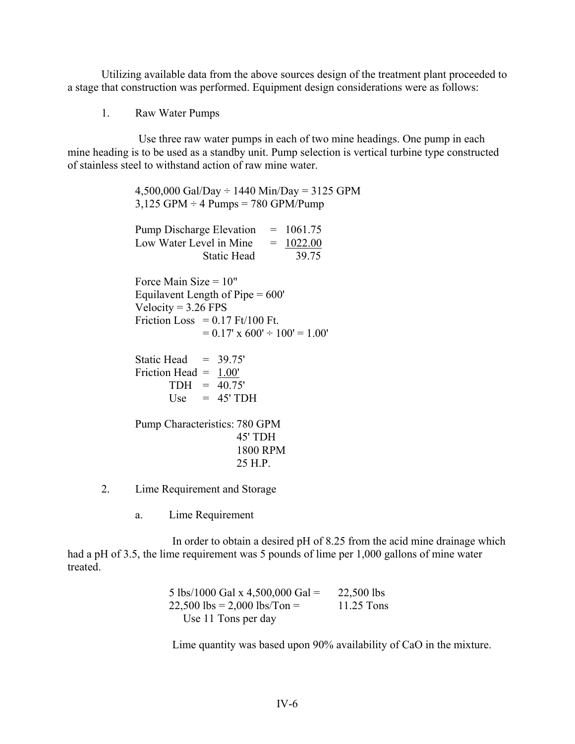Utilizing available data from the above sources design of the treatment plant proceeded to a stage that construction was performed. Equipment design considerations were as follows:

1. Raw Water Pumps

Use three raw water pumps in each of two mine headings. One pump in each mine heading is to be used as a standby unit. Pump selection is vertical turbine type constructed of stainless steel to withstand action of raw mine water.

> $4,500,000$  Gal/Day  $\div$  1440 Min/Day = 3125 GPM  $3,125$  GPM  $\div$  4 Pumps = 780 GPM/Pump Pump Discharge Elevation  $= 1061.75$ Low Water Level in Mine  $= 1022.00$ Static Head 39.75 Force Main Size  $= 10$ " Equilavent Length of Pipe = 600' Velocity =  $3.26$  FPS Friction Loss  $= 0.17$  Ft/100 Ft.  $= 0.17'$  x 600'  $\div 100' = 1.00'$ Static Head  $= 39.75'$ Friction Head = 1.00'  $TDH = 40.75'$ Use  $= 45'$  TDH Pump Characteristics: 780 GPM 45' TDH 1800 RPM 25 H.P.

- 2. Lime Requirement and Storage
	- a. Lime Requirement

In order to obtain a desired pH of 8.25 from the acid mine drainage which had a pH of 3.5, the lime requirement was 5 pounds of lime per 1,000 gallons of mine water treated.

> 5 lbs/1000 Gal x 4,500,000 Gal =  $22,500$  lbs  $22,500$  lbs = 2,000 lbs/Ton = 11.25 Tons Use 11 Tons per day

Lime quantity was based upon 90% availability of CaO in the mixture.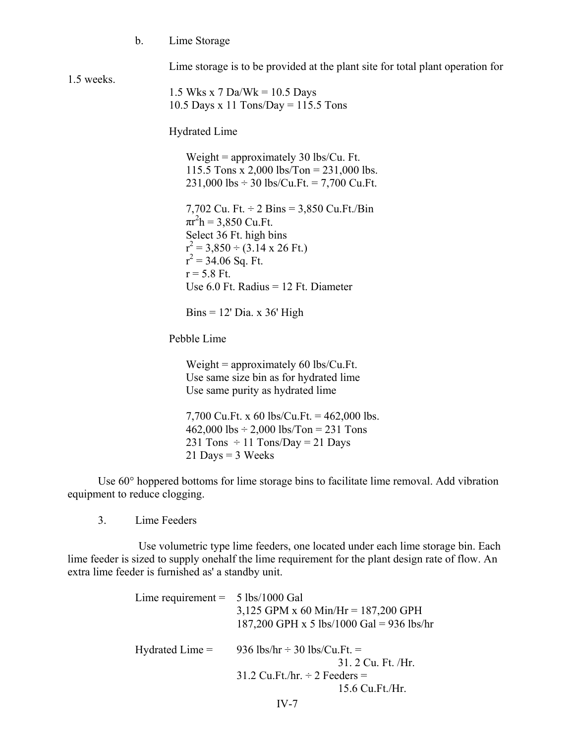b. Lime Storage

Lime storage is to be provided at the plant site for total plant operation for

1.5 weeks.

1.5 Wks x 7 Da/Wk =  $10.5$  Days 10.5 Days x 11 Tons/Day =  $115.5$  Tons

Hydrated Lime

Weight = approximately  $30$  lbs/Cu. Ft. 115.5 Tons x 2,000 lbs/Ton = 231,000 lbs.  $231,000$  lbs  $\div$  30 lbs/Cu.Ft. = 7,700 Cu.Ft.

7,702 Cu. Ft. ÷ 2 Bins = 3,850 Cu.Ft./Bin  $\pi r^2 h = 3{,}850$  Cu.Ft. Select 36 Ft. high bins  $r^2 = 3,850 \div (3.14 \times 26 \text{ Ft.})$  $r^2 = 34.06$  Sq. Ft.  $r = 5.8$  Ft. Use  $6.0$  Ft. Radius = 12 Ft. Diameter

 $Bins = 12'$  Dia. x 36' High

Pebble Lime

Weight  $=$  approximately 60 lbs/Cu.Ft. Use same size bin as for hydrated lime Use same purity as hydrated lime

7,700 Cu.Ft. x 60 lbs/Cu.Ft. = 462,000 lbs.  $462,000$  lbs  $\div$  2,000 lbs/Ton = 231 Tons 231 Tons  $\div$  11 Tons/Day = 21 Days  $21$  Days = 3 Weeks

Use 60° hoppered bottoms for lime storage bins to facilitate lime removal. Add vibration equipment to reduce clogging.

3. Lime Feeders

Use volumetric type lime feeders, one located under each lime storage bin. Each lime feeder is sized to supply onehalf the lime requirement for the plant design rate of flow. An extra lime feeder is furnished as' a standby unit.

| Lime requirement = $5 \text{ lbs}/1000 \text{ Gal}$ | 3,125 GPM x 60 Min/Hr = 187,200 GPH<br>187,200 GPH x 5 lbs/1000 Gal = 936 lbs/hr        |
|-----------------------------------------------------|-----------------------------------------------------------------------------------------|
|                                                     | Hydrated Lime = $936 \text{ lbs/hr} \div 30 \text{ lbs/Cu.Ft.} =$<br>31. 2 Cu. Ft. /Hr. |
|                                                     | $31.2$ Cu.Ft./hr. $\div$ 2 Feeders =                                                    |
|                                                     | 15.6 Cu.Ft./Hr.                                                                         |
|                                                     | $IV-7$                                                                                  |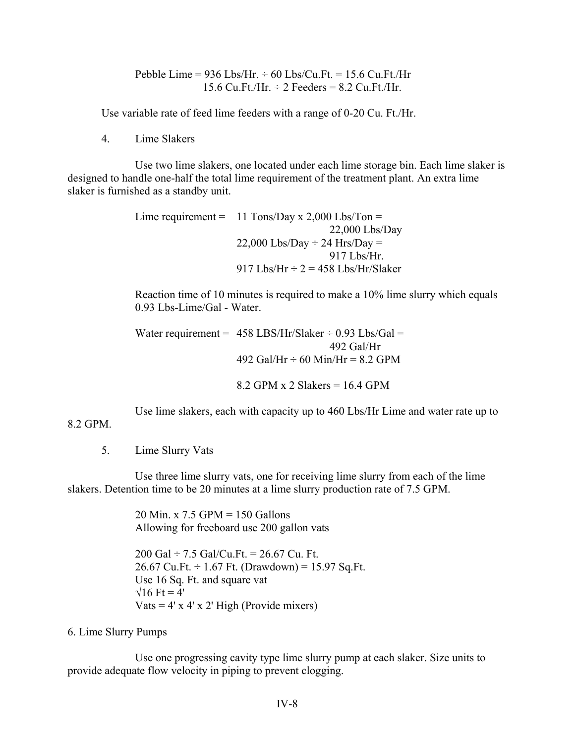Pebble Lime =  $936$  Lbs/Hr.  $\div 60$  Lbs/Cu.Ft. = 15.6 Cu.Ft./Hr 15.6 Cu. Ft./Hr.  $\div$  2 Feeders = 8.2 Cu. Ft./Hr.

Use variable rate of feed lime feeders with a range of 0-20 Cu. Ft./Hr.

4. Lime Slakers

Use two lime slakers, one located under each lime storage bin. Each lime slaker is designed to handle one-half the total lime requirement of the treatment plant. An extra lime slaker is furnished as a standby unit.

```
Lime requirement = 11 Tons/Day x 2,000 Lbs/Ton =
                             22,000 Lbs/Day 
         22,000 Lbs/Day \div 24 Hrs/Day =
                            917 Lbs/Hr. 
         917 Lbs/Hr \div 2 = 458 Lbs/Hr/Slaker
```
Reaction time of 10 minutes is required to make a 10% lime slurry which equals 0.93 Lbs-Lime/Gal - Water.

```
Water requirement = 458 LBS/Hr/Slaker \div 0.93 Lbs/Gal =
                             492 Gal/Hr 
         492 Gal/Hr \div 60 Min/Hr = 8.2 GPM
```
 $8.2$  GPM x 2 Slakers = 16.4 GPM

Use lime slakers, each with capacity up to 460 Lbs/Hr Lime and water rate up to

### 8.2 GPM.

5. Lime Slurry Vats

Use three lime slurry vats, one for receiving lime slurry from each of the lime slakers. Detention time to be 20 minutes at a lime slurry production rate of 7.5 GPM.

> 20 Min. x 7.5 GPM = 150 Gallons Allowing for freeboard use 200 gallon vats

200 Gal  $\div$  7.5 Gal/Cu.Ft. = 26.67 Cu. Ft. 26.67 Cu.Ft.  $\div$  1.67 Ft. (Drawdown) = 15.97 Sq.Ft. Use 16 Sq. Ft. and square vat  $\sqrt{16}$  Ft = 4' Vats =  $4'$  x  $4'$  x  $2'$  High (Provide mixers)

#### 6. Lime Slurry Pumps

Use one progressing cavity type lime slurry pump at each slaker. Size units to provide adequate flow velocity in piping to prevent clogging.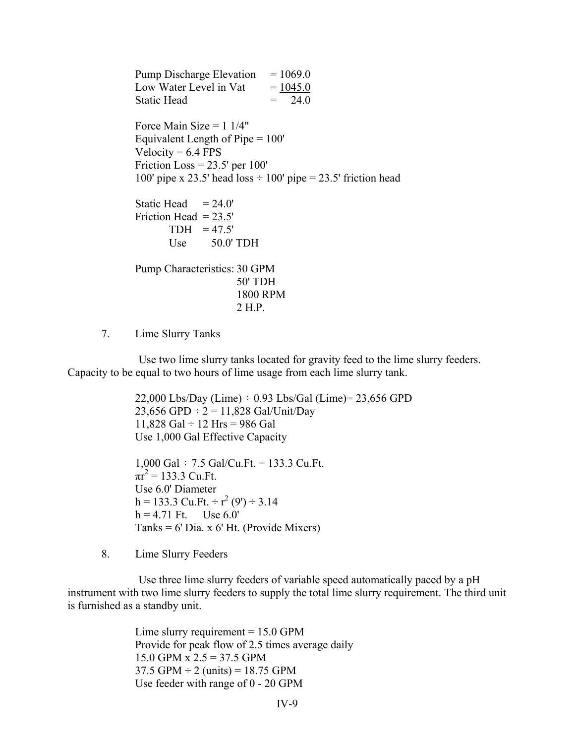Pump Discharge Elevation  $= 1069.0$ Low Water Level in Vat  $= 1045.0$ Static Head  $= 24.0$ Force Main Size =  $1 \frac{1}{4}$ " Equivalent Length of Pipe = 100' Velocity  $= 6.4$  FPS Friction Loss  $= 23.5'$  per 100' 100' pipe x 23.5' head loss  $\div$  100' pipe = 23.5' friction head Static Head  $= 24.0'$ Friction Head  $= 23.5'$  $TDH = 47.5'$ Use 50.0' TDH Pump Characteristics: 30 GPM 50' TDH 1800 RPM 2 H.P.

7. Lime Slurry Tanks

Use two lime slurry tanks located for gravity feed to the lime slurry feeders. Capacity to be equal to two hours of lime usage from each lime slurry tank.

> 22,000 Lbs/Day (Lime)  $\div$  0.93 Lbs/Gal (Lime) = 23,656 GPD 23,656 GPD  $\div 2 = 11,828$  Gal/Unit/Day 11,828 Gal  $\div$  12 Hrs = 986 Gal Use 1,000 Gal Effective Capacity

1,000 Gal  $\div$  7.5 Gal/Cu.Ft. = 133.3 Cu.Ft.  $\pi r^2 = 133.3$  Cu.Ft. Use 6.0' Diameter  $h = 133.3$  Cu.Ft. ÷  $r^2$  (9') ÷ 3.14  $h = 4.71$  Ft. Use  $6.0'$  $Tanks = 6' Dia. x 6' Hit. (Provide Mixers)$ 

8. Lime Slurry Feeders

Use three lime slurry feeders of variable speed automatically paced by a pH instrument with two lime slurry feeders to supply the total lime slurry requirement. The third unit is furnished as a standby unit.

> Lime slurry requirement  $= 15.0$  GPM Provide for peak flow of 2.5 times average daily 15.0 GPM x  $2.5 = 37.5$  GPM 37.5 GPM  $\div$  2 (units) = 18.75 GPM Use feeder with range of 0 - 20 GPM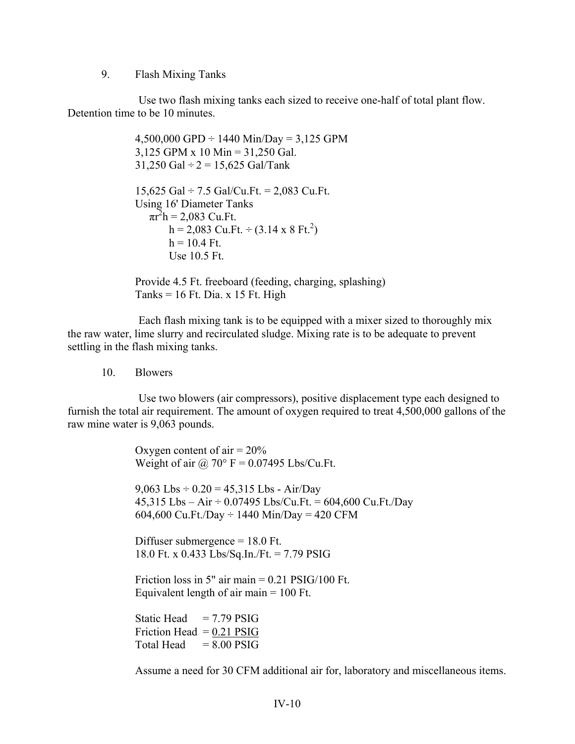9. Flash Mixing Tanks

Use two flash mixing tanks each sized to receive one-half of total plant flow. Detention time to be 10 minutes.

> $4,500,000$  GPD  $\div$  1440 Min/Day = 3,125 GPM 3,125 GPM x 10 Min = 31,250 Gal.  $31,250$  Gal  $\div$  2 = 15,625 Gal/Tank 15,625 Gal  $\div$  7.5 Gal/Cu.Ft. = 2,083 Cu.Ft. Using 16' Diameter Tanks  $\pi r^2 h = 2{,}083$  Cu.Ft.  $h = 2,083$  Cu.Ft.  $\div (3.14 \times 8 \text{ Ft.}^2)$  $h = 10.4$  Ft. Use  $10.5$  Ft.

Provide 4.5 Ft. freeboard (feeding, charging, splashing) Tanks =  $16$  Ft. Dia. x 15 Ft. High

Each flash mixing tank is to be equipped with a mixer sized to thoroughly mix the raw water, lime slurry and recirculated sludge. Mixing rate is to be adequate to prevent settling in the flash mixing tanks.

10. Blowers

Use two blowers (air compressors), positive displacement type each designed to furnish the total air requirement. The amount of oxygen required to treat 4,500,000 gallons of the raw mine water is 9,063 pounds.

> Oxygen content of air  $= 20\%$ Weight of air @  $70^{\circ}$  F = 0.07495 Lbs/Cu.Ft.

9,063 Lbs  $\div$  0.20 = 45,315 Lbs - Air/Day 45,315 Lbs – Air ÷ 0.07495 Lbs/Cu.Ft. = 604,600 Cu.Ft./Day 604,600 Cu.Ft./Day  $\div$  1440 Min/Day = 420 CFM

Diffuser submergence = 18.0 Ft. 18.0 Ft. x 0.433 Lbs/Sq.In./Ft. = 7.79 PSIG

Friction loss in 5" air main  $= 0.21$  PSIG/100 Ft. Equivalent length of air main  $= 100$  Ft.

Static Head  $= 7.79$  PSIG Friction Head  $= 0.21$  PSIG Total Head  $= 8.00$  PSIG

Assume a need for 30 CFM additional air for, laboratory and miscellaneous items.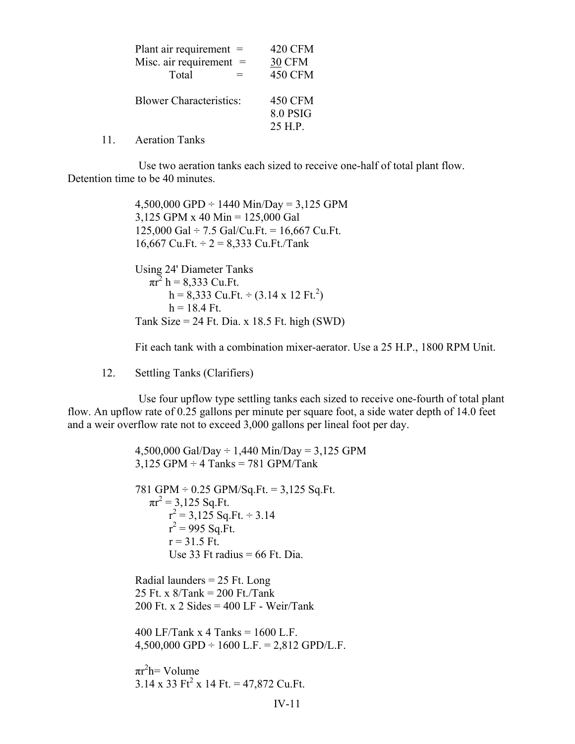| Plant air requirement $=$      | <b>420 CFM</b>  |
|--------------------------------|-----------------|
| Misc. air requirement $=$      | <b>30 CFM</b>   |
| Total                          | <b>450 CFM</b>  |
| <b>Blower Characteristics:</b> | <b>450 CFM</b>  |
|                                | <b>8.0 PSIG</b> |
|                                | 25 H.P.         |

11. Aeration Tanks

Use two aeration tanks each sized to receive one-half of total plant flow. Detention time to be 40 minutes.

> $4,500,000$  GPD  $\div$  1440 Min/Day = 3,125 GPM 3,125 GPM x 40 Min = 125,000 Gal 125,000 Gal  $\div$  7.5 Gal/Cu.Ft. = 16,667 Cu.Ft. 16,667 Cu.Ft.  $\div$  2 = 8,333 Cu.Ft./Tank

Using 24' Diameter Tanks  $\pi r^2$  h = 8,333 Cu.Ft.  $h = 8,333$  Cu.Ft.  $\div (3.14 \times 12 \text{ Ft.}^2)$  $h = 18.4$  Ft. Tank Size =  $24$  Ft. Dia. x 18.5 Ft. high (SWD)

Fit each tank with a combination mixer-aerator. Use a 25 H.P., 1800 RPM Unit.

12. Settling Tanks (Clarifiers)

Use four upflow type settling tanks each sized to receive one-fourth of total plant flow. An upflow rate of 0.25 gallons per minute per square foot, a side water depth of 14.0 feet and a weir overflow rate not to exceed 3,000 gallons per lineal foot per day.

> IV-11 4,500,000 Gal/Day  $\div$  1,440 Min/Day = 3,125 GPM  $3,125$  GPM  $\div$  4 Tanks = 781 GPM/Tank 781 GPM  $\div$  0.25 GPM/Sq.Ft. = 3,125 Sq.Ft.  $\pi r^2 = 3,125$  Sq. Ft.  $r^2 = 3,125$  Sq.Ft.  $\div$  3.14  $r^2 = 995$  Sq. Ft.  $r = 31.5$  Ft. Use 33 Ft radius  $= 66$  Ft. Dia. Radial launders  $= 25$  Ft. Long 25 Ft. x 8/Tank = 200 Ft./Tank 200 Ft. x 2 Sides =  $400$  LF - Weir/Tank 400 LF/Tank x 4 Tanks =  $1600$  L.F.  $4,500,000$  GPD  $\div$  1600 L.F. = 2,812 GPD/L.F.  $\pi r^2 h =$  Volume  $3.14 \times 33$  Ft<sup>2</sup> x 14 Ft. = 47,872 Cu.Ft.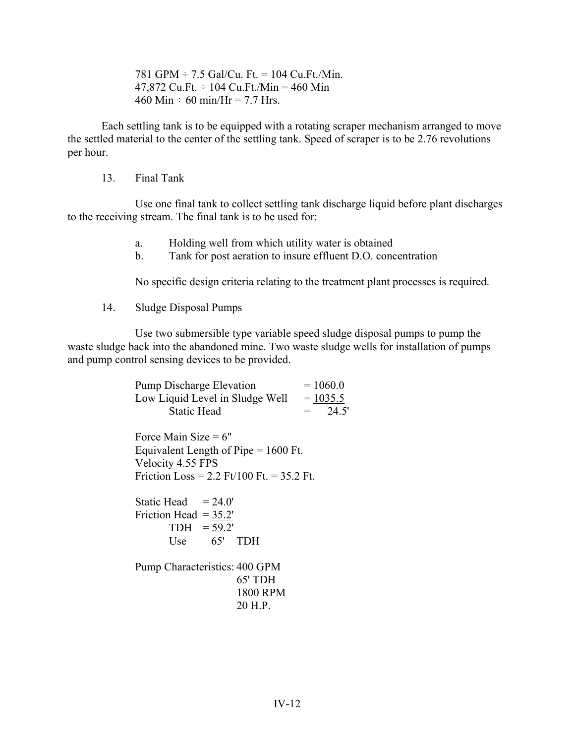781 GPM  $\div$  7.5 Gal/Cu. Ft. = 104 Cu. Ft./Min. 47,872 Cu.Ft.  $\div$  104 Cu.Ft./Min = 460 Min 460 Min  $\div$  60 min/Hr = 7.7 Hrs.

Each settling tank is to be equipped with a rotating scraper mechanism arranged to move the settled material to the center of the settling tank. Speed of scraper is to be 2.76 revolutions per hour.

13. Final Tank

Use one final tank to collect settling tank discharge liquid before plant discharges to the receiving stream. The final tank is to be used for:

- a. Holding well from which utility water is obtained
- b. Tank for post aeration to insure effluent D.O. concentration

No specific design criteria relating to the treatment plant processes is required.

14. Sludge Disposal Pumps

Use two submersible type variable speed sludge disposal pumps to pump the waste sludge back into the abandoned mine. Two waste sludge wells for installation of pumps and pump control sensing devices to be provided.

| <b>Pump Discharge Elevation</b> | $= 1060.0$   |
|---------------------------------|--------------|
| Low Liquid Level in Sludge Well | $= 1035.5$   |
| <b>Static Head</b>              | 24.5'<br>$=$ |

Force Main Size  $= 6"$ Equivalent Length of Pipe = 1600 Ft. Velocity 4.55 FPS Friction Loss =  $2.2$  Ft/100 Ft. =  $35.2$  Ft.

Static Head  $= 24.0'$ Friction Head  $= 35.2'$  $TDH = 59.2'$ Use 65' TDH

Pump Characteristics: 400 GPM 65' TDH 1800 RPM 20 H.P.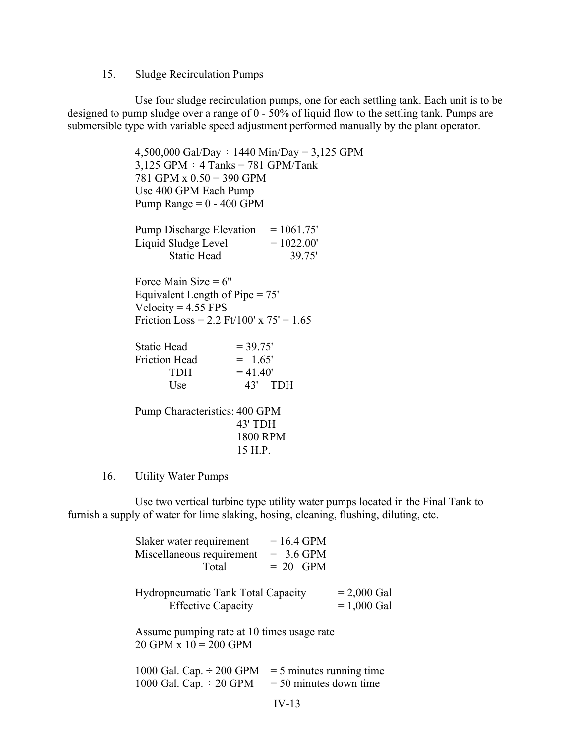#### 15. Sludge Recirculation Pumps

Use four sludge recirculation pumps, one for each settling tank. Each unit is to be designed to pump sludge over a range of 0 - 50% of liquid flow to the settling tank. Pumps are submersible type with variable speed adjustment performed manually by the plant operator.

> $4,500,000$  Gal/Day  $\div$  1440 Min/Day = 3,125 GPM  $3,125$  GPM  $\div$  4 Tanks = 781 GPM/Tank 781 GPM x 0.50 = 390 GPM Use 400 GPM Each Pump Pump Range  $= 0 - 400$  GPM Pump Discharge Elevation  $= 1061.75'$ Liquid Sludge Level  $= 1022.00'$ Static Head 39.75' Force Main Size  $= 6"$ Equivalent Length of Pipe = 75' Velocity  $= 4.55$  FPS Friction Loss =  $2.2$  Ft/100' x  $75' = 1.65$ Static Head  $= 39.75'$ Friction Head  $= 1.65'$  $TDH$  = 41.40' Use 43' TDH Pump Characteristics: 400 GPM

43' TDH 1800 RPM 15 H.P.

#### 16. Utility Water Pumps

Use two vertical turbine type utility water pumps located in the Final Tank to furnish a supply of water for lime slaking, hosing, cleaning, flushing, diluting, etc.

| Slaker water requirement                                                | $= 16.4$ GPM                                           |                                |
|-------------------------------------------------------------------------|--------------------------------------------------------|--------------------------------|
| Miscellaneous requirement                                               | $= 3.6$ GPM                                            |                                |
| Total                                                                   | $= 20$ GPM                                             |                                |
| Hydropneumatic Tank Total Capacity<br><b>Effective Capacity</b>         |                                                        | $= 2,000$ Gal<br>$= 1,000$ Gal |
| Assume pumping rate at 10 times usage rate<br>$20$ GPM $x 10 = 200$ GPM |                                                        |                                |
| 1000 Gal. Cap. $\div$ 200 GPM<br>1000 Gal. Cap. $\div$ 20 GPM           | $=$ 5 minutes running time<br>$=$ 50 minutes down time |                                |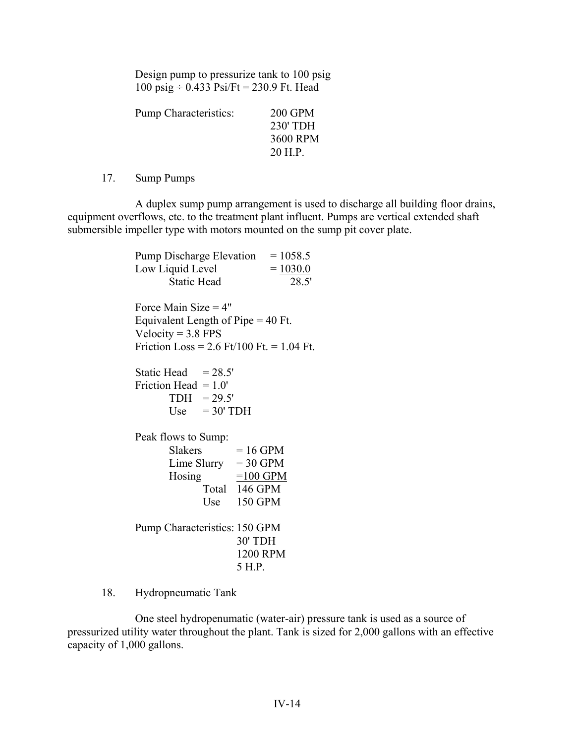Design pump to pressurize tank to 100 psig 100 psig  $\div$  0.433 Psi/Ft = 230.9 Ft. Head

| 200 GPM  |
|----------|
| 230' TDH |
| 3600 RPM |
| 20 H.P.  |
|          |

17. Sump Pumps

A duplex sump pump arrangement is used to discharge all building floor drains, equipment overflows, etc. to the treatment plant influent. Pumps are vertical extended shaft submersible impeller type with motors mounted on the sump pit cover plate.

| <b>Pump Discharge Elevation</b><br>Low Liquid Level<br><b>Static Head</b>                                                             | $= 1058.5$<br>$= 1030.0$<br>28.5'                                        |
|---------------------------------------------------------------------------------------------------------------------------------------|--------------------------------------------------------------------------|
| Force Main Size $=$ 4"<br>Equivalent Length of Pipe $=$ 40 Ft.<br>Velocity = $3.8$ FPS<br>Friction Loss = $2.6$ Ft/100 Ft. = 1.04 Ft. |                                                                          |
| Static Head $= 28.5'$<br>Friction Head $= 1.0$<br>$TDH = 29.5'$<br>Use $=30'$ TDH                                                     |                                                                          |
| Peak flows to Sump:<br><b>Slakers</b><br>Lime Slurry<br>Hosing                                                                        | $= 16$ GPM<br>$= 30$ GPM<br>$=100$ GPM<br>Total 146 GPM<br>Use $150$ GPM |
| Pump Characteristics: 150 GPM                                                                                                         | 30' TDH<br>1200 RPM<br>5 H.P.                                            |

18. Hydropneumatic Tank

One steel hydropenumatic (water-air) pressure tank is used as a source of pressurized utility water throughout the plant. Tank is sized for 2,000 gallons with an effective capacity of 1,000 gallons.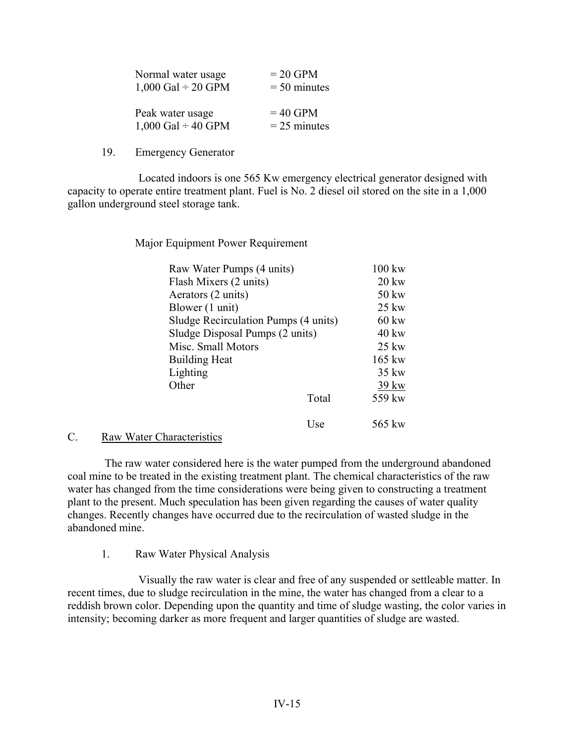| Normal water usage      | $= 20$ GPM     |
|-------------------------|----------------|
| 1,000 Gal $\div$ 20 GPM | $= 50$ minutes |
|                         |                |
| Peak water usage        | $= 40$ GPM     |
| 1,000 Gal $\div$ 40 GPM | $= 25$ minutes |

19. Emergency Generator

Located indoors is one 565 Kw emergency electrical generator designed with capacity to operate entire treatment plant. Fuel is No. 2 diesel oil stored on the site in a 1,000 gallon underground steel storage tank.

Major Equipment Power Requirement

| Raw Water Pumps (4 units)            |       | $100 \text{ kw}$ |
|--------------------------------------|-------|------------------|
| Flash Mixers (2 units)               |       | $20 \text{ kw}$  |
| Aerators (2 units)                   |       | 50 kw            |
| Blower (1 unit)                      |       | $25 \text{ kW}$  |
| Sludge Recirculation Pumps (4 units) |       | $60 \text{ kw}$  |
| Sludge Disposal Pumps (2 units)      |       | $40 \text{ kw}$  |
| Misc. Small Motors                   |       | $25 \text{ kW}$  |
| <b>Building Heat</b>                 |       | 165 kw           |
| Lighting                             |       | $35 \text{ kW}$  |
| Other                                |       | $39 \text{kw}$   |
|                                      | Total | 559 kw           |
|                                      |       |                  |
|                                      | Use   | 565 kw           |

#### C. Raw Water Characteristics

The raw water considered here is the water pumped from the underground abandoned coal mine to be treated in the existing treatment plant. The chemical characteristics of the raw water has changed from the time considerations were being given to constructing a treatment plant to the present. Much speculation has been given regarding the causes of water quality changes. Recently changes have occurred due to the recirculation of wasted sludge in the abandoned mine.

#### 1. Raw Water Physical Analysis

Visually the raw water is clear and free of any suspended or settleable matter. In recent times, due to sludge recirculation in the mine, the water has changed from a clear to a reddish brown color. Depending upon the quantity and time of sludge wasting, the color varies in intensity; becoming darker as more frequent and larger quantities of sludge are wasted.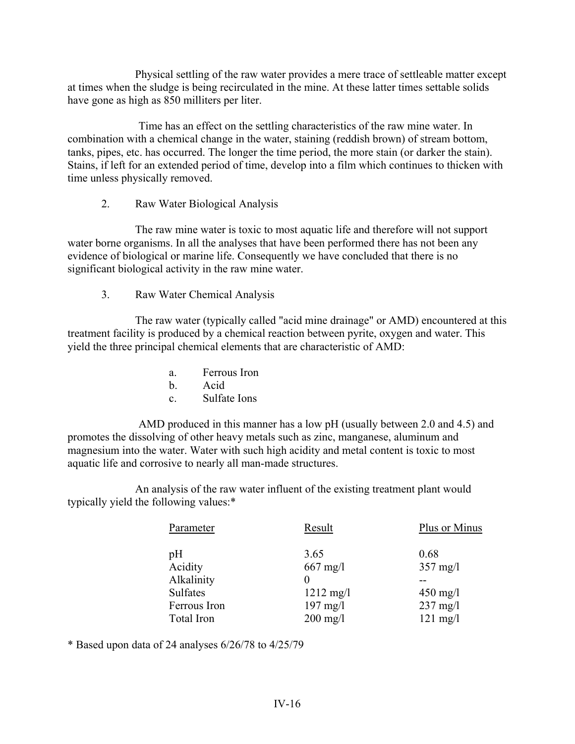Physical settling of the raw water provides a mere trace of settleable matter except at times when the sludge is being recirculated in the mine. At these latter times settable solids have gone as high as 850 milliters per liter.

Time has an effect on the settling characteristics of the raw mine water. In combination with a chemical change in the water, staining (reddish brown) of stream bottom, tanks, pipes, etc. has occurred. The longer the time period, the more stain (or darker the stain). Stains, if left for an extended period of time, develop into a film which continues to thicken with time unless physically removed.

2. Raw Water Biological Analysis

The raw mine water is toxic to most aquatic life and therefore will not support water borne organisms. In all the analyses that have been performed there has not been any evidence of biological or marine life. Consequently we have concluded that there is no significant biological activity in the raw mine water.

3. Raw Water Chemical Analysis

The raw water (typically called "acid mine drainage" or AMD) encountered at this treatment facility is produced by a chemical reaction between pyrite, oxygen and water. This yield the three principal chemical elements that are characteristic of AMD:

- a. Ferrous Iron b. Acid
- c. Sulfate Ions

AMD produced in this manner has a low pH (usually between 2.0 and 4.5) and promotes the dissolving of other heavy metals such as zinc, manganese, aluminum and magnesium into the water. Water with such high acidity and metal content is toxic to most aquatic life and corrosive to nearly all man-made structures.

An analysis of the raw water influent of the existing treatment plant would typically yield the following values:\*

| Parameter    | Result              | Plus or Minus      |
|--------------|---------------------|--------------------|
| pH           | 3.65                | 0.68               |
| Acidity      | $667$ mg/l          | $357 \text{ mg}/l$ |
| Alkalinity   |                     |                    |
| Sulfates     | $1212 \text{ mg}/1$ | $450$ mg/l         |
| Ferrous Iron | $197$ mg/l          | $237$ mg/l         |
| Total Iron   | $200$ mg/l          | $121 \text{ mg}/1$ |

\* Based upon data of 24 analyses 6/26/78 to 4/25/79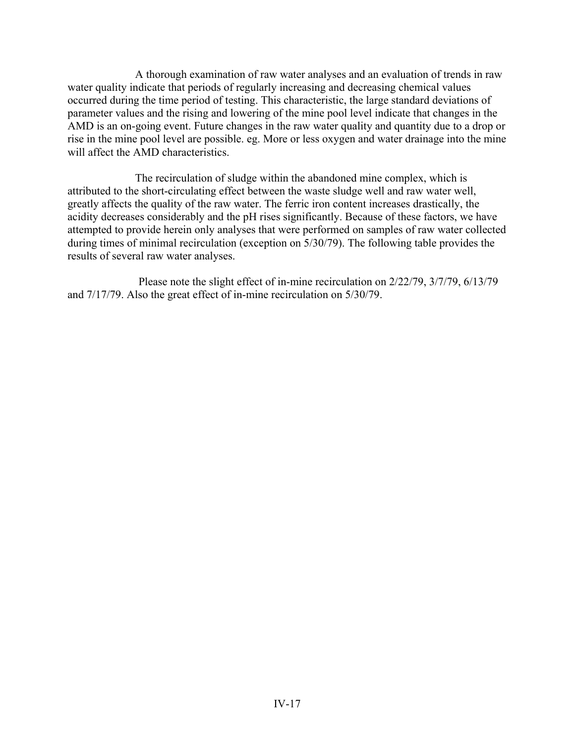A thorough examination of raw water analyses and an evaluation of trends in raw water quality indicate that periods of regularly increasing and decreasing chemical values occurred during the time period of testing. This characteristic, the large standard deviations of parameter values and the rising and lowering of the mine pool level indicate that changes in the AMD is an on-going event. Future changes in the raw water quality and quantity due to a drop or rise in the mine pool level are possible. eg. More or less oxygen and water drainage into the mine will affect the AMD characteristics.

The recirculation of sludge within the abandoned mine complex, which is attributed to the short-circulating effect between the waste sludge well and raw water well, greatly affects the quality of the raw water. The ferric iron content increases drastically, the acidity decreases considerably and the pH rises significantly. Because of these factors, we have attempted to provide herein only analyses that were performed on samples of raw water collected during times of minimal recirculation (exception on 5/30/79). The following table provides the results of several raw water analyses.

Please note the slight effect of in-mine recirculation on 2/22/79, 3/7/79, 6/13/79 and 7/17/79. Also the great effect of in-mine recirculation on 5/30/79.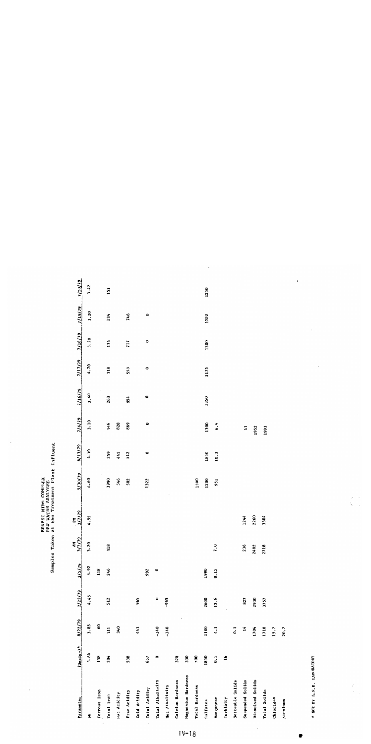| Parameter             | $(\text{bes1g}n)^*$ | 8/22/79              | 2/22/79   | 3/5/79  | 61/17<br>Ę<br>$\geq$ | PM<br>3/7/79 | 5/30/79 | 6/13/79   | 7/6/79    | 7/16/79   | 7/17/79   | 7/18/79         | 1/19/79 | 7/20/79 |
|-----------------------|---------------------|----------------------|-----------|---------|----------------------|--------------|---------|-----------|-----------|-----------|-----------|-----------------|---------|---------|
| 튐                     | 3.80                | 3.85                 | 4.45      | 3.92    | 3.20                 | 4.55         | 6.60    | 4.10      | 3.10      | 3.60      | 4.70      | 3.20            | 3.20    | 3.42    |
| <b>Ferrous</b> Iron   | 138                 | 60                   |           | 118     |                      |              |         |           |           |           |           |                 |         |         |
| Total Iron            | 304                 | $\Xi$                | 512       | 246     | 318                  |              | 1990    | 259       | 146       | 263       | 318       | 134             | 134     | 151     |
| Hot Acidity           |                     | 340                  |           |         |                      |              | 546     | 445       | 828       |           |           |                 |         |         |
| Free Acidity          | 538                 |                      |           |         |                      |              | 502     | 512       | 869       | 854       | 555       | $\overline{11}$ | 746     |         |
| Cold Acidity          |                     | 443                  | 965       |         |                      |              |         |           |           |           |           |                 |         |         |
| Total Acidity         | 657                 |                      |           | 992     |                      |              | 1322    | $\bullet$ | $\bullet$ | $\bullet$ | $\bullet$ | 0               | $\circ$ |         |
| Total Alkalinity      | $\bullet$           | $-340$               | $\bullet$ | $\circ$ |                      |              |         |           |           |           |           |                 |         |         |
| Net Alkalinity        |                     | $-340$               | $-965$    |         |                      |              |         |           |           |           |           |                 |         |         |
| Calcium Hardness      | 370                 |                      |           |         |                      |              |         |           |           |           |           |                 |         |         |
| Magnesium Hardness    | 330                 |                      |           |         |                      |              |         |           |           |           |           |                 |         |         |
| <b>Total Hardness</b> | 700                 |                      |           |         |                      |              | 1300    |           |           |           |           |                 |         |         |
| Sulfates              | 1850                | 1100                 | 2600      | 1990    |                      |              | 1200    | 1850      | 1300      | 1350      | 1175      | 1300            | 1250    | 1250    |
| Manganese             | $\overline{0}$      | 4.1                  | 13.6      | 8.15    | 7.0                  |              | 951     | 10.3      | 6.4       |           |           |                 |         |         |
| Turbidity             | $\overline{16}$     |                      |           |         |                      |              |         |           |           |           |           |                 |         |         |
| Setteable Solids      |                     | $\ddot{\phantom{0}}$ |           |         |                      |              |         |           |           |           |           |                 |         |         |
| Suspended Solids      |                     | 14                   | 827       |         | 236                  | 1244         |         |           | 5         |           |           |                 |         |         |
| Dissolved Solids      |                     | 1704                 | 2930      |         | 2482                 | 2260         |         |           | 1952      |           |           |                 |         |         |
| Total Solids          |                     | 1718                 | 3757      |         | 2718                 | 3504         |         |           | 1993      |           |           |                 |         |         |
| Chlorides             |                     | 15.2                 |           |         |                      |              |         |           |           |           |           |                 |         |         |
| Aluminum              |                     | 20.2                 |           |         |                      |              |         |           |           |           |           |                 |         |         |

**ERNEST MINE COMPILEX**<br>RAW WATER ANALYSES<br>Samples Taken at the Treatment Plant Influent

\* NOT BY I.R.K. LABORATORY

 $\frac{1}{2}$  $\frac{1}{2}$ 

 $IV-18$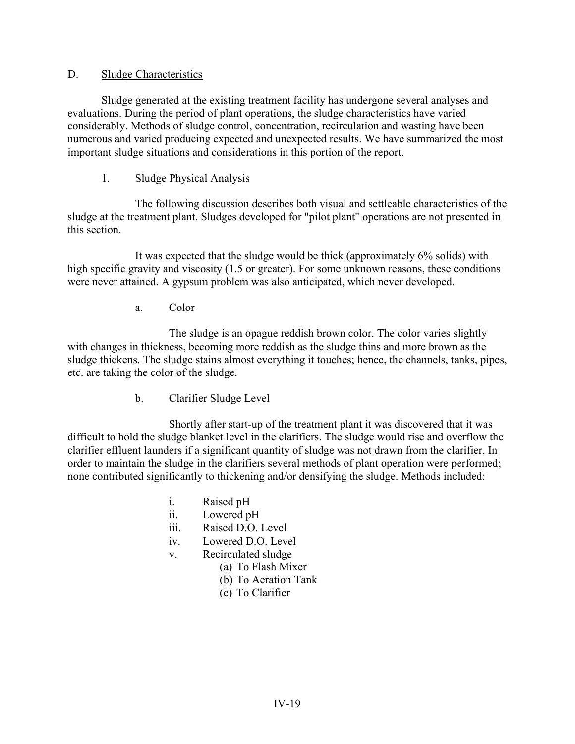### D. Sludge Characteristics

Sludge generated at the existing treatment facility has undergone several analyses and evaluations. During the period of plant operations, the sludge characteristics have varied considerably. Methods of sludge control, concentration, recirculation and wasting have been numerous and varied producing expected and unexpected results. We have summarized the most important sludge situations and considerations in this portion of the report.

1. Sludge Physical Analysis

The following discussion describes both visual and settleable characteristics of the sludge at the treatment plant. Sludges developed for "pilot plant" operations are not presented in this section.

It was expected that the sludge would be thick (approximately 6% solids) with high specific gravity and viscosity (1.5 or greater). For some unknown reasons, these conditions were never attained. A gypsum problem was also anticipated, which never developed.

a. Color

The sludge is an opague reddish brown color. The color varies slightly with changes in thickness, becoming more reddish as the sludge thins and more brown as the sludge thickens. The sludge stains almost everything it touches; hence, the channels, tanks, pipes, etc. are taking the color of the sludge.

b. Clarifier Sludge Level

Shortly after start-up of the treatment plant it was discovered that it was difficult to hold the sludge blanket level in the clarifiers. The sludge would rise and overflow the clarifier effluent launders if a significant quantity of sludge was not drawn from the clarifier. In order to maintain the sludge in the clarifiers several methods of plant operation were performed; none contributed significantly to thickening and/or densifying the sludge. Methods included:

- i. Raised pH
- ii. Lowered pH
- iii. Raised D.O. Level
- iv. Lowered D.O. Level
- v. Recirculated sludge
	- (a) To Flash Mixer
	- (b) To Aeration Tank
	- (c) To Clarifier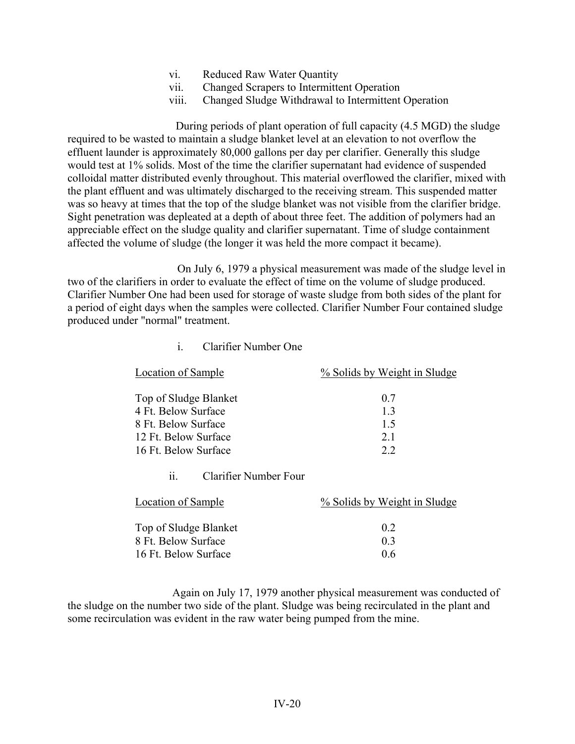- vi. Reduced Raw Water Quantity
- vii. Changed Scrapers to Intermittent Operation
- viii. Changed Sludge Withdrawal to Intermittent Operation

During periods of plant operation of full capacity (4.5 MGD) the sludge required to be wasted to maintain a sludge blanket level at an elevation to not overflow the effluent launder is approximately 80,000 gallons per day per clarifier. Generally this sludge would test at 1% solids. Most of the time the clarifier supernatant had evidence of suspended colloidal matter distributed evenly throughout. This material overflowed the clarifier, mixed with the plant effluent and was ultimately discharged to the receiving stream. This suspended matter was so heavy at times that the top of the sludge blanket was not visible from the clarifier bridge. Sight penetration was depleated at a depth of about three feet. The addition of polymers had an appreciable effect on the sludge quality and clarifier supernatant. Time of sludge containment affected the volume of sludge (the longer it was held the more compact it became).

On July 6, 1979 a physical measurement was made of the sludge level in two of the clarifiers in order to evaluate the effect of time on the volume of sludge produced. Clarifier Number One had been used for storage of waste sludge from both sides of the plant for a period of eight days when the samples were collected. Clarifier Number Four contained sludge produced under "normal" treatment.

| <b>Location of Sample</b>    | % Solids by Weight in Sludge |
|------------------------------|------------------------------|
| Top of Sludge Blanket        | 0.7                          |
| 4 Ft. Below Surface          | 1.3                          |
| 8 Ft. Below Surface          | 1.5                          |
| 12 Ft. Below Surface         | 21                           |
| 16 Ft. Below Surface         | 2.2                          |
| Clarifier Number Four<br>11. |                              |
| <b>Location of Sample</b>    | % Solids by Weight in Sludge |
| Top of Sludge Blanket        | 0.2                          |
| 8 Ft. Below Surface          | 0 <sub>3</sub>               |
| 16 Ft. Below Surface         | 0.6                          |

i. Clarifier Number One

Again on July 17, 1979 another physical measurement was conducted of the sludge on the number two side of the plant. Sludge was being recirculated in the plant and some recirculation was evident in the raw water being pumped from the mine.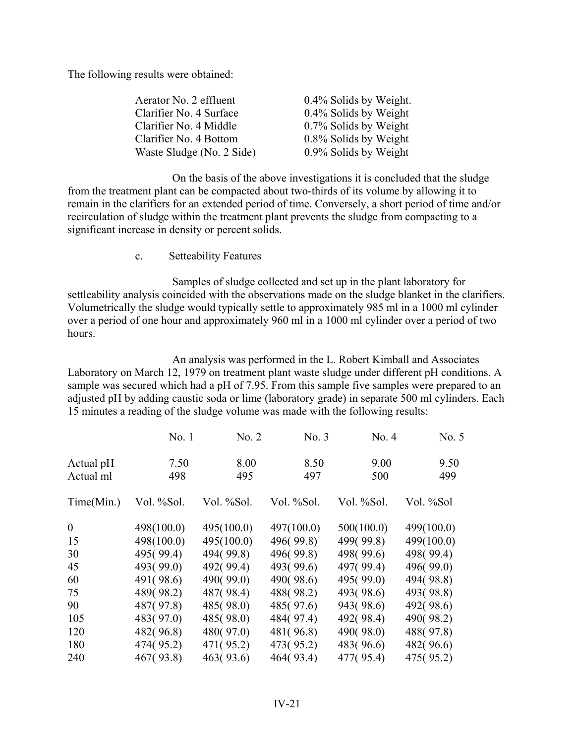The following results were obtained:

| Aerator No. 2 effluent    | 0.4% Solids by Weight. |
|---------------------------|------------------------|
| Clarifier No. 4 Surface   | 0.4% Solids by Weight  |
| Clarifier No. 4 Middle    | 0.7% Solids by Weight  |
| Clarifier No. 4 Bottom    | 0.8% Solids by Weight  |
| Waste Sludge (No. 2 Side) | 0.9% Solids by Weight  |

On the basis of the above investigations it is concluded that the sludge from the treatment plant can be compacted about two-thirds of its volume by allowing it to remain in the clarifiers for an extended period of time. Conversely, a short period of time and/or recirculation of sludge within the treatment plant prevents the sludge from compacting to a significant increase in density or percent solids.

c. Setteability Features

Samples of sludge collected and set up in the plant laboratory for settleability analysis coincided with the observations made on the sludge blanket in the clarifiers. Volumetrically the sludge would typically settle to approximately 985 ml in a 1000 ml cylinder over a period of one hour and approximately 960 ml in a 1000 ml cylinder over a period of two hours.

An analysis was performed in the L. Robert Kimball and Associates Laboratory on March 12, 1979 on treatment plant waste sludge under different pH conditions. A sample was secured which had a pH of 7.95. From this sample five samples were prepared to an adjusted pH by adding caustic soda or lime (laboratory grade) in separate 500 ml cylinders. Each 15 minutes a reading of the sludge volume was made with the following results:

|              | No.1       | No. 2      | No. 3      | No. 4      | No. 5      |
|--------------|------------|------------|------------|------------|------------|
| Actual pH    | 7.50       | 8.00       | 8.50       | 9.00       | 9.50       |
| Actual ml    | 498        | 495        | 497        | 500        | 499        |
| Time(Min.)   | Vol. %Sol. | Vol. %Sol. | Vol. %Sol. | Vol. %Sol. | Vol. %Sol  |
| $\mathbf{0}$ | 498(100.0) | 495(100.0) | 497(100.0) | 500(100.0) | 499(100.0) |
| 15           | 498(100.0) | 495(100.0) | 496(99.8)  | 499(99.8)  | 499(100.0) |
| 30           | 495(99.4)  | 494(99.8)  | 496(99.8)  | 498(99.6)  | 498(99.4)  |
| 45           | 493(99.0)  | 492(99.4)  | 493(99.6)  | 497(99.4)  | 496(99.0)  |
| 60           | 491(98.6)  | 490(99.0)  | 490(98.6)  | 495(99.0)  | 494(98.8)  |
| 75           | 489(98.2)  | 487(98.4)  | 488(98.2)  | 493(98.6)  | 493(98.8)  |
| 90           | 487(97.8)  | 485(98.0)  | 485(97.6)  | 943(98.6)  | 492(98.6)  |
| 105          | 483(97.0)  | 485(98.0)  | 484(97.4)  | 492(98.4)  | 490(98.2)  |
| 120          | 482(96.8)  | 480(97.0)  | 481(96.8)  | 490(98.0)  | 488(97.8)  |
| 180          | 474(95.2)  | 471(95.2)  | 473(95.2)  | 483(96.6)  | 482(96.6)  |
| 240          | 467(93.8)  | 463(93.6)  | 464(93.4)  | 477(95.4)  | 475(95.2)  |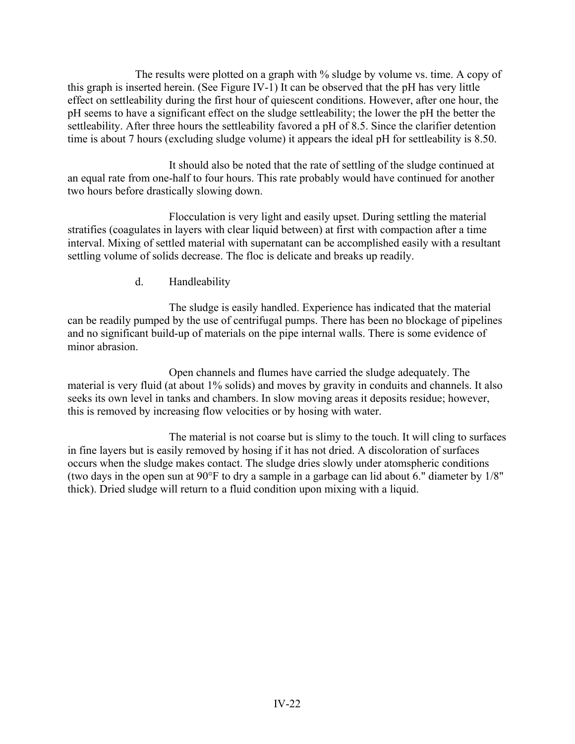The results were plotted on a graph with % sludge by volume vs. time. A copy of this graph is inserted herein. (See Figure IV-1) It can be observed that the pH has very little effect on settleability during the first hour of quiescent conditions. However, after one hour, the pH seems to have a significant effect on the sludge settleability; the lower the pH the better the settleability. After three hours the settleability favored a pH of 8.5. Since the clarifier detention time is about 7 hours (excluding sludge volume) it appears the ideal pH for settleability is 8.50.

It should also be noted that the rate of settling of the sludge continued at an equal rate from one-half to four hours. This rate probably would have continued for another two hours before drastically slowing down.

Flocculation is very light and easily upset. During settling the material stratifies (coagulates in layers with clear liquid between) at first with compaction after a time interval. Mixing of settled material with supernatant can be accomplished easily with a resultant settling volume of solids decrease. The floc is delicate and breaks up readily.

d. Handleability

The sludge is easily handled. Experience has indicated that the material can be readily pumped by the use of centrifugal pumps. There has been no blockage of pipelines and no significant build-up of materials on the pipe internal walls. There is some evidence of minor abrasion.

Open channels and flumes have carried the sludge adequately. The material is very fluid (at about 1% solids) and moves by gravity in conduits and channels. It also seeks its own level in tanks and chambers. In slow moving areas it deposits residue; however, this is removed by increasing flow velocities or by hosing with water.

The material is not coarse but is slimy to the touch. It will cling to surfaces in fine layers but is easily removed by hosing if it has not dried. A discoloration of surfaces occurs when the sludge makes contact. The sludge dries slowly under atomspheric conditions (two days in the open sun at 90°F to dry a sample in a garbage can lid about 6." diameter by 1/8" thick). Dried sludge will return to a fluid condition upon mixing with a liquid.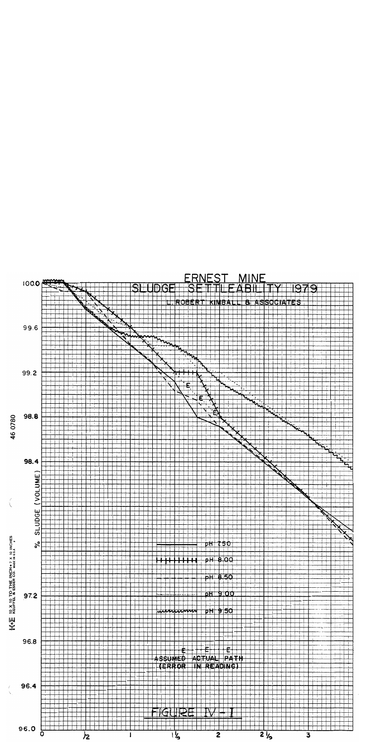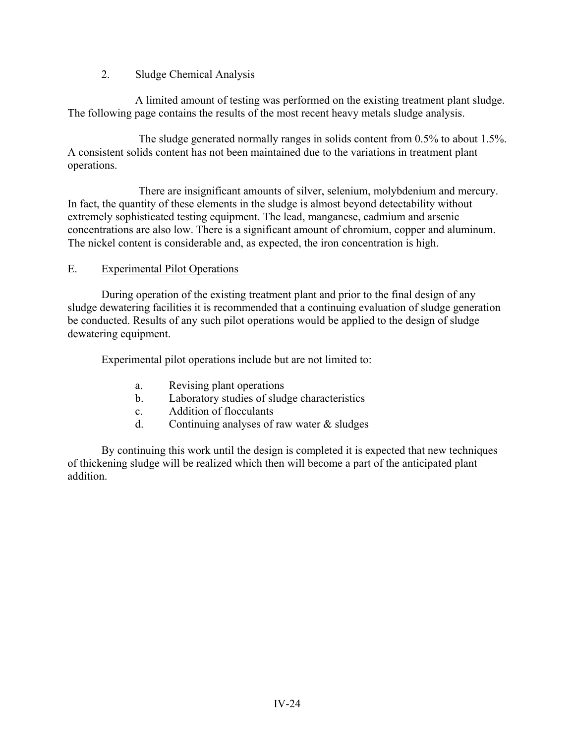## 2. Sludge Chemical Analysis

A limited amount of testing was performed on the existing treatment plant sludge. The following page contains the results of the most recent heavy metals sludge analysis.

The sludge generated normally ranges in solids content from 0.5% to about 1.5%. A consistent solids content has not been maintained due to the variations in treatment plant operations.

There are insignificant amounts of silver, selenium, molybdenium and mercury. In fact, the quantity of these elements in the sludge is almost beyond detectability without extremely sophisticated testing equipment. The lead, manganese, cadmium and arsenic concentrations are also low. There is a significant amount of chromium, copper and aluminum. The nickel content is considerable and, as expected, the iron concentration is high.

## E. Experimental Pilot Operations

During operation of the existing treatment plant and prior to the final design of any sludge dewatering facilities it is recommended that a continuing evaluation of sludge generation be conducted. Results of any such pilot operations would be applied to the design of sludge dewatering equipment.

Experimental pilot operations include but are not limited to:

- a. Revising plant operations
- b. Laboratory studies of sludge characteristics
- c. Addition of flocculants
- d. Continuing analyses of raw water & sludges

By continuing this work until the design is completed it is expected that new techniques of thickening sludge will be realized which then will become a part of the anticipated plant addition.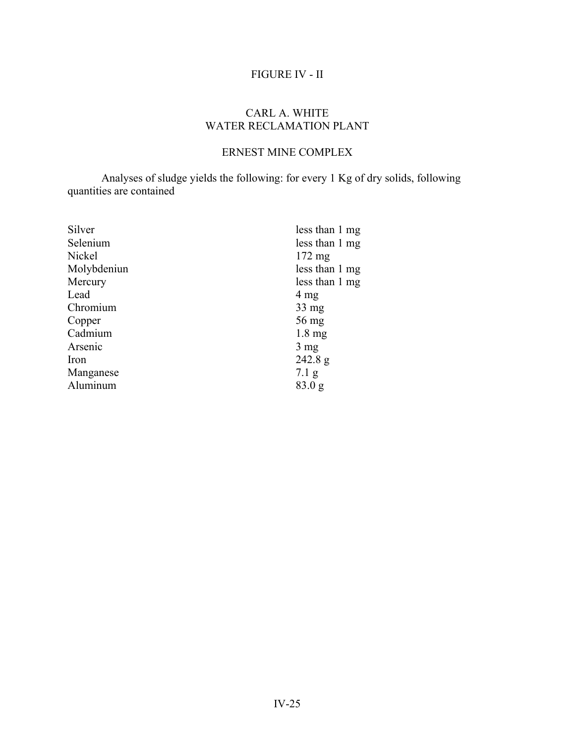# FIGURE IV - II

## CARL A. WHITE WATER RECLAMATION PLANT

# ERNEST MINE COMPLEX

Analyses of sludge yields the following: for every 1 Kg of dry solids, following quantities are contained

| Silver      | less than 1 mg   |
|-------------|------------------|
| Selenium    | less than 1 mg   |
| Nickel      | $172 \text{ mg}$ |
| Molybdeniun | less than 1 mg   |
| Mercury     | less than 1 mg   |
| Lead        | 4 mg             |
| Chromium    | $33 \text{ mg}$  |
| Copper      | 56 mg            |
| Cadmium     | $1.8 \text{ mg}$ |
| Arsenic     | $3 \text{ mg}$   |
| Iron        | 242.8 g          |
| Manganese   | $7.1\text{ g}$   |
| Aluminum    | 83.0 g           |
|             |                  |